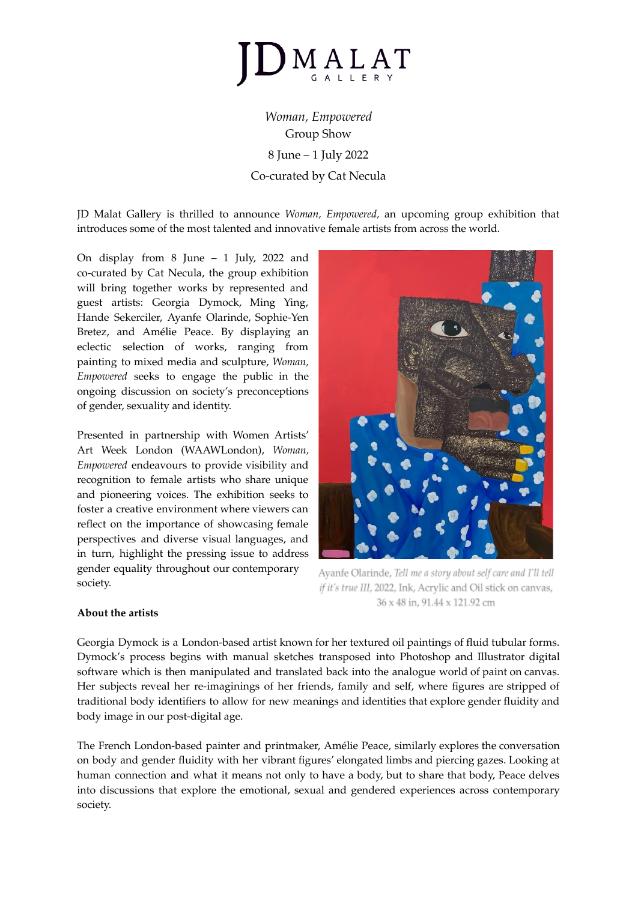

*Woman, Empowered* Group Show 8 June – 1 July 2022 Co-curated by Cat Necula

JD Malat Gallery is thrilled to announce *Woman, Empowered,* an upcoming group exhibition that introduces some of the most talented and innovative female artists from across the world.

On display from 8 June – 1 July, 2022 and co-curated by Cat Necula, the group exhibition will bring together works by represented and guest artists: Georgia Dymock, Ming Ying, Hande Sekerciler, Ayanfe Olarinde, Sophie-Yen Bretez, and Amélie Peace. By displaying an eclectic selection of works, ranging from painting to mixed media and sculpture, *Woman, Empowered* seeks to engage the public in the ongoing discussion on society's preconceptions of gender, sexuality and identity.

Presented in partnership with Women Artists' Art Week London (WAAWLondon), *Woman, Empowered* endeavours to provide visibility and recognition to female artists who share unique and pioneering voices. The exhibition seeks to foster a creative environment where viewers can reflect on the importance of showcasing female perspectives and diverse visual languages, and in turn, highlight the pressing issue to address gender equality throughout our contemporary society.



Ayanfe Olarinde, Tell me a story about self care and I'll tell if it's true III, 2022, Ink, Acrylic and Oil stick on canvas, 36 x 48 in, 91.44 x 121.92 cm

## **About the artists**

Georgia Dymock is a London-based artist known for her textured oil paintings of fluid tubular forms. Dymock's process begins with manual sketches transposed into Photoshop and Illustrator digital software which is then manipulated and translated back into the analogue world of paint on canvas. Her subjects reveal her re-imaginings of her friends, family and self, where figures are stripped of traditional body identifiers to allow for new meanings and identities that explore gender fluidity and body image in our post-digital age.

The French London-based painter and printmaker, Amélie Peace, similarly explores the conversation on body and gender fluidity with her vibrant figures' elongated limbs and piercing gazes. Looking at human connection and what it means not only to have a body, but to share that body, Peace delves into discussions that explore the emotional, sexual and gendered experiences across contemporary society.